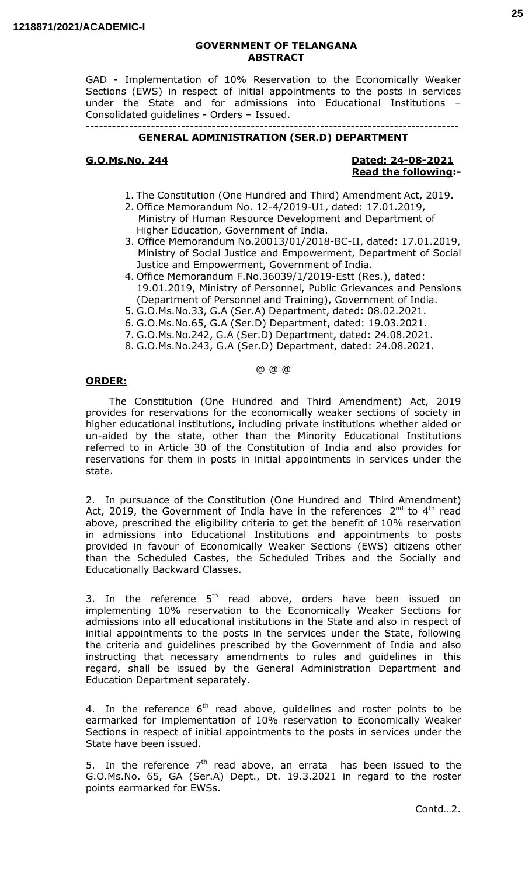### **GOVERNMENT OF TELANGANA ABSTRACT**

GAD - Implementation of 10% Reservation to the Economically Weaker Sections (EWS) in respect of initial appointments to the posts in services under the State and for admissions into Educational Institutions – Consolidated guidelines - Orders – Issued. --------------------------------------------------------------------------------------

## **GENERAL ADMINISTRATION (SER.D) DEPARTMENT**

# **G.O.Ms.No. 244 Dated: 24-08-2021 Read the following:-**

- 1. The Constitution (One Hundred and Third) Amendment Act, 2019.
- 2. Office Memorandum No. 12-4/2019-U1, dated: 17.01.2019, Ministry of Human Resource Development and Department of Higher Education, Government of India.
- 3. Office Memorandum No.20013/01/2018-BC-II, dated: 17.01.2019, Ministry of Social Justice and Empowerment, Department of Social Justice and Empowerment, Government of India.
- 4. Office Memorandum F.No.36039/1/2019-Estt (Res.), dated: 19.01.2019, Ministry of Personnel, Public Grievances and Pensions (Department of Personnel and Training), Government of India.
- 5. G.O.Ms.No.33, G.A (Ser.A) Department, dated: 08.02.2021.
- 6. G.O.Ms.No.65, G.A (Ser.D) Department, dated: 19.03.2021.
- 7. G.O.Ms.No.242, G.A (Ser.D) Department, dated: 24.08.2021.
- 8. G.O.Ms.No.243, G.A (Ser.D) Department, dated: 24.08.2021.

#### @ @ @

#### **ORDER:**

The Constitution (One Hundred and Third Amendment) Act, 2019 provides for reservations for the economically weaker sections of society in higher educational institutions, including private institutions whether aided or un-aided by the state, other than the Minority Educational Institutions referred to in Article 30 of the Constitution of India and also provides for reservations for them in posts in initial appointments in services under the state.

2. In pursuance of the Constitution (One Hundred and Third Amendment) Act, 2019, the Government of India have in the references  $2^{nd}$  to  $4^{th}$  read above, prescribed the eligibility criteria to get the benefit of 10% reservation in admissions into Educational Institutions and appointments to posts provided in favour of Economically Weaker Sections (EWS) citizens other than the Scheduled Castes, the Scheduled Tribes and the Socially and Educationally Backward Classes.

3. In the reference  $5<sup>th</sup>$  read above, orders have been issued on implementing 10% reservation to the Economically Weaker Sections for admissions into all educational institutions in the State and also in respect of initial appointments to the posts in the services under the State, following the criteria and guidelines prescribed by the Government of India and also instructing that necessary amendments to rules and guidelines in this regard, shall be issued by the General Administration Department and Education Department separately.

4. In the reference  $6<sup>th</sup>$  read above, guidelines and roster points to be earmarked for implementation of 10% reservation to Economically Weaker Sections in respect of initial appointments to the posts in services under the State have been issued.

5. In the reference  $7<sup>th</sup>$  read above, an errata has been issued to the G.O.Ms.No. 65, GA (Ser.A) Dept., Dt. 19.3.2021 in regard to the roster points earmarked for EWSs.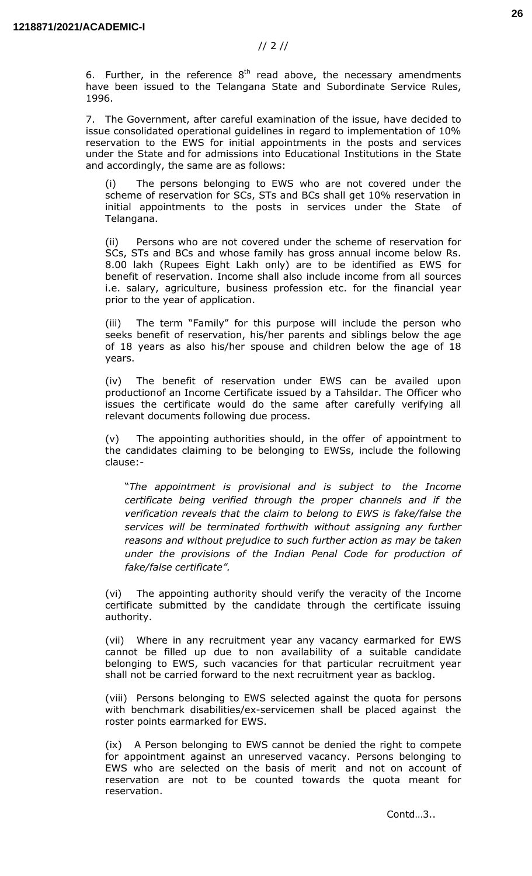# // 2 //

6. Further, in the reference  $8<sup>th</sup>$  read above, the necessary amendments have been issued to the Telangana State and Subordinate Service Rules, 1996.

7. The Government, after careful examination of the issue, have decided to issue consolidated operational guidelines in regard to implementation of 10% reservation to the EWS for initial appointments in the posts and services under the State and for admissions into Educational Institutions in the State and accordingly, the same are as follows:

The persons belonging to EWS who are not covered under the scheme of reservation for SCs, STs and BCs shall get 10% reservation in initial appointments to the posts in services under the State of Telangana.

(ii) Persons who are not covered under the scheme of reservation for SCs, STs and BCs and whose family has gross annual income below Rs. 8.00 lakh (Rupees Eight Lakh only) are to be identified as EWS for benefit of reservation. Income shall also include income from all sources i.e. salary, agriculture, business profession etc. for the financial year prior to the year of application.

(iii) The term "Family" for this purpose will include the person who seeks benefit of reservation, his/her parents and siblings below the age of 18 years as also his/her spouse and children below the age of 18 years.

(iv) The benefit of reservation under EWS can be availed upon production of an Income Certificate issued by a Tahsildar. The Officer who issues the certificate would do the same after carefully verifying all relevant documents following due process.

(v) The appointing authorities should, in the offer of appointment to the candidates claiming to be belonging to EWSs, include the following clause:-

"*The appointment is provisional and is subject to the Income certificate being verified through the proper channels and if the verification reveals that the claim to belong to EWS is fake/false the services will be terminated forthwith without assigning any further reasons and without prejudice to such further action as may be taken under the provisions of the Indian Penal Code for production of fake/false certificate".* 

(vi) The appointing authority should verify the veracity of the Income certificate submitted by the candidate through the certificate issuing authority.

(vii) Where in any recruitment year any vacancy earmarked for EWS cannot be filled up due to non availability of a suitable candidate belonging to EWS, such vacancies for that particular recruitment year shall not be carried forward to the next recruitment year as backlog.

(viii) Persons belonging to EWS selected against the quota for persons with benchmark disabilities/ex-servicemen shall be placed against the roster points earmarked for EWS.

(ix) A Person belonging to EWS cannot be denied the right to compete for appointment against an unreserved vacancy. Persons belonging to EWS who are selected on the basis of merit and not on account of reservation are not to be counted towards the quota meant for reservation.